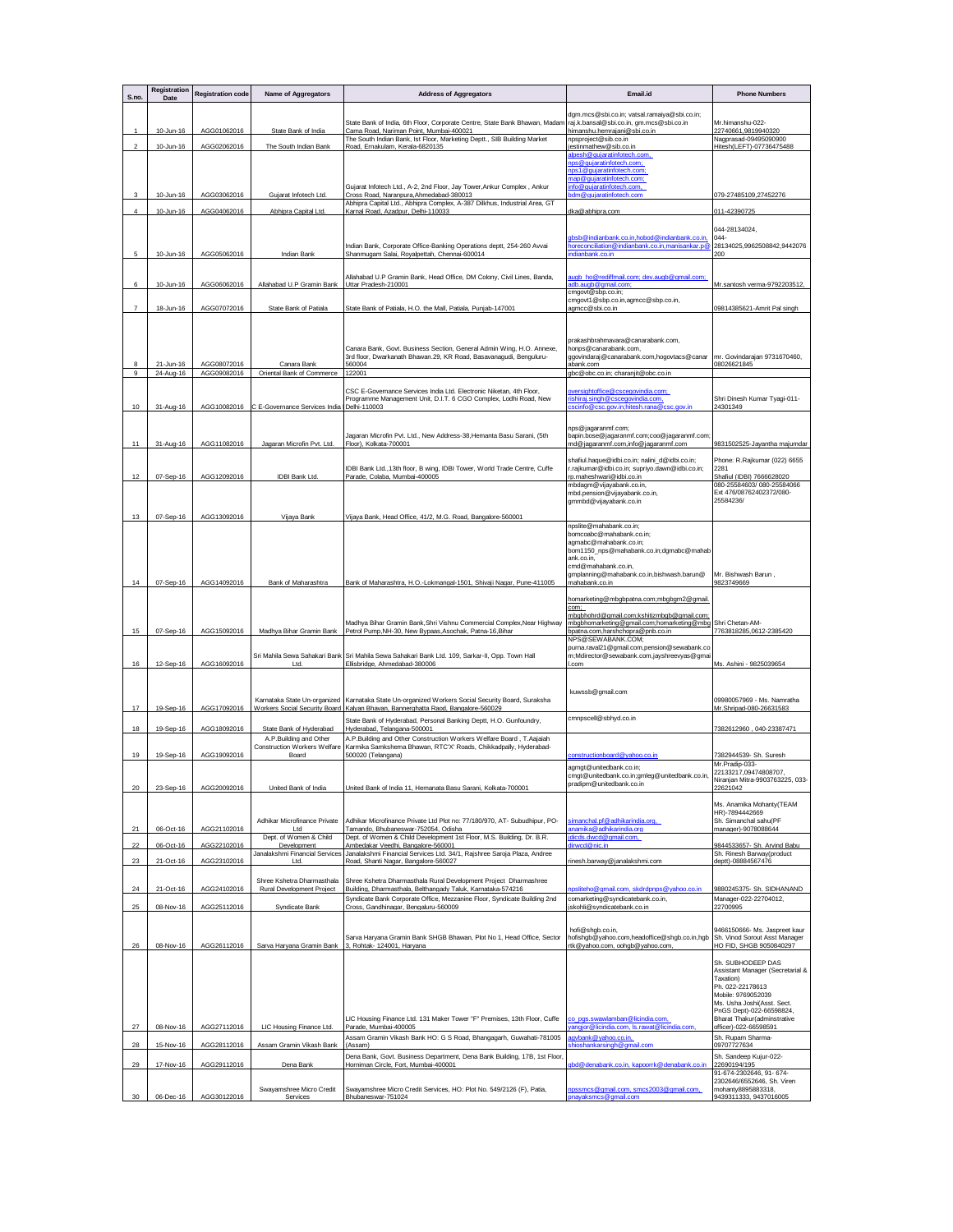| S.no.          | Registration<br>Date   | <b>Registration code</b>   | Name of Aggregators                                     | <b>Address of Aggregators</b>                                                                                                                            | Email.id                                                                                          | <b>Phone Numbers</b>                                                           |
|----------------|------------------------|----------------------------|---------------------------------------------------------|----------------------------------------------------------------------------------------------------------------------------------------------------------|---------------------------------------------------------------------------------------------------|--------------------------------------------------------------------------------|
|                |                        |                            |                                                         |                                                                                                                                                          | dgm.mcs@sbi.co.in; vatsal.ramaiya@sbi.co.in;                                                      |                                                                                |
| 1              | 10-Jun-16              | AGG01062016                | State Bank of India                                     | State Bank of India, 6th Floor, Corporate Centre, State Bank Bhawan, Madam<br>Cama Road, Nariman Point, Mumbai-400021                                    | raj.k.bansal@sbi.co.in, gm.mcs@sbi.co.in<br>himanshu.hemrajani@sbi.co.in                          | Mr.himanshu-022-<br>22740661,9819940320                                        |
| $\overline{2}$ | 10-Jun-16              | AGG02062016                | The South Indian Bank                                   | The South Indian Bank, Ist Floor, Marketing Deptt., SIB Building Market<br>Road, Ernakulam, Kerala-6820135                                               | npsproject@sib.co.in<br>estinmathew@sib.co.in                                                     | Nagprasad-09495090900<br>Hitesh(LEFT)-07736475488                              |
|                |                        |                            |                                                         |                                                                                                                                                          | alpesh@gujaratinfotech.com,<br>nps@gujaratinfotech.com;                                           |                                                                                |
|                |                        |                            |                                                         |                                                                                                                                                          | nps1@qujaratinfotech.com;<br>map@qujaratinfotech.com;                                             |                                                                                |
| 3              | 10-Jun-16              | AGG03062016                | Gujarat Infotech Ltd.                                   | Gujarat Infotech Ltd., A-2, 2nd Floor, Jay Tower, Ankur Complex, Ankur<br>Cross Road, Naranpura, Ahmedabad-380013                                        | nfo@gujaratinfotech.com,<br>dm@quiaratinfotech.com                                                | 079-27485109,27452276                                                          |
| $\overline{4}$ | 10-Jun-16              | AGG04062016                | Abhipra Capital Ltd.                                    | Abhipra Capital Ltd., Abhipra Complex, A-387 Dilkhus, Industrial Area, GT<br>Karnal Road, Azadpur, Delhi-110033                                          | dka@abhipra.com                                                                                   | 011-42390725                                                                   |
|                |                        |                            |                                                         |                                                                                                                                                          |                                                                                                   | 044-28134024,                                                                  |
|                |                        |                            |                                                         | Indian Bank, Corporate Office-Banking Operations deptt, 254-260 Avvai                                                                                    | gbsb@indianbank.co.in,hobod@indianbank.co.in,<br>noreconciliation@indianbank.co.in,manisankar.p@  | $044 -$<br>28134025,9962508842,9442076                                         |
| 5              | 10-Jun-16              | AGG05062016                | Indian Bank                                             | Shanmugam Salai, Royalpettah, Chennai-600014                                                                                                             | dianbank.co.in                                                                                    | 200                                                                            |
|                |                        |                            |                                                         | Allahabad U.P Gramin Bank, Head Office, DM Colony, Civil Lines, Banda,                                                                                   | augb_ho@rediffmail.com; dev.augb@gmail.com;                                                       |                                                                                |
| 6              | 10-Jun-16              | AGG06062016                | Allahabad U.P Gramin Bank                               | Uttar Pradesh-210001                                                                                                                                     | adb.augb@gmail.com;<br>cmgovt@sbp.co.in;                                                          | Mr.santosh verma-9792203512,                                                   |
| $\overline{7}$ | 18-Jun-16              | AGG07072016                | State Bank of Patiala                                   | State Bank of Patiala, H.O. the Mall, Patiala, Punjab-147001                                                                                             | cmgovt1@sbp.co.in,agmcc@sbp.co.in,<br>agmcc@sbi.co.in                                             | 09814385621-Amrit Pal singh                                                    |
|                |                        |                            |                                                         |                                                                                                                                                          |                                                                                                   |                                                                                |
|                |                        |                            |                                                         |                                                                                                                                                          | prakashbrahmavara@canarabank.com,                                                                 |                                                                                |
|                |                        |                            |                                                         | Canara Bank, Govt. Business Section, General Admin Wing, H.O. Annexe,<br>3rd floor, Dwarkanath Bhawan.29, KR Road, Basavanagudi, Benguluru-              | honps@canarabank.com,<br>ggovindaraj@canarabank.com,hogovtacs@canar                               | mr. Govindarajan 9731670460,                                                   |
| 9              | 21-Jun-16<br>24-Aug-16 | AGG08072016<br>AGG09082016 | Canara Bank<br>Oriental Bank of Commerce 122001         | 560004                                                                                                                                                   | abank.com<br>qbc@obc.co.in; charanjit@obc.co.in                                                   | 08026621845                                                                    |
|                |                        |                            |                                                         | CSC E-Governance Services India Ltd. Electronic Niketan, 4th Floor,                                                                                      | versightoffice@cscegovindia.com;                                                                  |                                                                                |
| 10             | 31-Aug-16              | AGG10082016                | C E-Governance Services India Delhi-110003              | Programme Management Unit, D.I.T. 6 CGO Complex, Lodhi Road, New                                                                                         | ishiraj.singh@cscegovindia.com,<br>scinfo@csc.gov.in;hitesh.rana@csc.gov.in                       | Shri Dinesh Kumar Tyagi-011-<br>24301349                                       |
|                |                        |                            |                                                         |                                                                                                                                                          |                                                                                                   |                                                                                |
|                |                        |                            |                                                         | Jagaran Microfin Pvt. Ltd., New Address-38, Hemanta Basu Sarani, (5th                                                                                    | nps@iagaranmf.com:<br>bapin.bose@jagaranmf.com;coo@jagaranmf.com                                  |                                                                                |
| 11             | 31-Aug-16              | AGG11082016                | Jagaran Microfin Pvt. Ltd                               | Floor), Kolkata-700001                                                                                                                                   | md@jagaranmf.com,info@jagaranmf.com                                                               | 9831502525-Jayantha majumdar                                                   |
|                |                        |                            |                                                         | IDBI Bank Ltd., 13th floor, B wing, IDBI Tower, World Trade Centre, Cuffe                                                                                | shafiul.haque@idbi.co.in; nalini_d@idbi.co.in;<br>r.rajkumar@idbi.co.in; supriyo.dawn@idbi.co.in; | Phone: R.Rajkumar (022) 6655<br>2281                                           |
| 12             | 07-Sep-16              | AGG12092016                | IDBI Bank Ltd.                                          | Parade, Colaba, Mumbai-400005                                                                                                                            | rp.maheshwari@idbi.co.in<br>mbdagm@vijayabank.co.in,                                              | Shafiul (IDBI) 7666628020<br>080-25584603/080-25584066                         |
|                |                        |                            |                                                         |                                                                                                                                                          | mbd.pension@vijayabank.co.in,<br>gmmbd@vijayabank.co.in                                           | Ext 476/08762402372/080-<br>25584236/                                          |
| 13             | 07-Sep-16              | AGG13092016                | Vijaya Bank                                             | Vijaya Bank, Head Office, 41/2, M.G. Road, Bangalore-560001                                                                                              |                                                                                                   |                                                                                |
|                |                        |                            |                                                         |                                                                                                                                                          | npslite@mahabank.co.in;<br>bomcoabc@mahabank.co.in;                                               |                                                                                |
|                |                        |                            |                                                         |                                                                                                                                                          | agmabc@mahabank.co.in:<br>bom1150_nps@mahabank.co.in;dgmabc@mahab                                 |                                                                                |
|                |                        |                            |                                                         |                                                                                                                                                          | ank.co.in,<br>cmd@mahabank.co.in,                                                                 |                                                                                |
| 14             | 07-Sep-16              | AGG14092016                | Bank of Maharashtra                                     | Bank of Maharashtra, H.O.-Lokmangal-1501, Shivaji Nagar, Pune-411005                                                                                     | gmplanning@mahabank.co.in,bishwash.barun@<br>mahabank.co.in                                       | Mr. Bishwash Barun,<br>9823749669                                              |
|                |                        |                            |                                                         |                                                                                                                                                          | homarketing@mbgbpatna.com;mbgbgm2@gmail.                                                          |                                                                                |
|                |                        |                            |                                                         |                                                                                                                                                          | com;<br>mbgbhohrd@gmail.com;kshitizmbgb@gmail.com;                                                |                                                                                |
| 15             | 07-Sep-16              | AGG15092016                | Madhya Bihar Gramin Bank                                | Madhya Bihar Gramin Bank, Shri Vishnu Commercial Complex, Near Highway<br>Petrol Pump, NH-30, New Bypaas, Asochak, Patna-16, Bihar                       | mbgbhomarketing@gmail.com;homarketing@mbg<br>opatna.com,harshchopra@pnb.co.in                     | Shri Chetan-AM-<br>7763818285.0612-2385420                                     |
|                |                        |                            |                                                         |                                                                                                                                                          | NPS@SEWABANK.COM;<br>purna.raval21@gmail.com,pension@sewabank.co                                  |                                                                                |
| 16             | 12-Sep-16              | AGG16092016                | Sri Mahila Sewa Sahakari Bank<br>Ltd.                   | Sri Mahila Sewa Sahakari Bank Ltd. 109, Sarkar-II, Opp. Town Hall<br>Ellisbridge, Ahmedabad-380006                                                       | m;Mdirector@sewabank.com,jayshreevyas@gma<br>.com                                                 | Ms. Ashini - 9825039654                                                        |
|                |                        |                            |                                                         |                                                                                                                                                          |                                                                                                   |                                                                                |
|                |                        |                            |                                                         |                                                                                                                                                          | kuwssb@gmail.com                                                                                  | 09980057969 - Ms. Namratha                                                     |
| 17             | 19-Sep-16              | AGG17092016                | Karnataka State Un-organized                            | Karnataka State Un-organized Workers Social Security Board, Suraksha<br>Workers Social Security Board Kalyan Bhavan, Bannerghatta Raod, Bangalore-560029 |                                                                                                   | Mr.Shripad-080-26631583                                                        |
| 18             | 19-Sep-16              | AGG18092016                | State Bank of Hyderabad                                 | State Bank of Hyderabad, Personal Banking Deptt, H.O. Gunfoundry,<br>Hyderabad, Telangana-500001                                                         | cmnpscell@sbhyd.co.in                                                                             | 7382612960, 040-23387471                                                       |
|                |                        |                            | A.P.Building and Other<br>Construction Workers Welfare  | A.P.Building and Other Construction Workers Welfare Board, T.Aajaiah<br>Karmika Samkshema Bhawan, RTC'X' Roads, Chikkadpally, Hyderabad-                 |                                                                                                   |                                                                                |
| 19             | 19-Sep-16              | AGG19092016                | Board                                                   | 500020 (Telangana)                                                                                                                                       | onstructionboard@vahoo.co.in                                                                      | 7382944539- Sh. Suresh<br>Mr.Pradip-033-                                       |
|                |                        |                            |                                                         |                                                                                                                                                          | agmgt@unitedbank.co.in;<br>cmgt@unitedbank.co.in;gmleg@unitedbank.co.in,                          | 22133217,09474808707,<br>Niranian Mitra-9903763225                             |
| 20             | 23-Sep-16              | AGG20092016                | United Bank of India                                    | United Bank of India 11, Hemanata Basu Sarani, Kolkata-700001                                                                                            | pradipm@unitedbank.co.in                                                                          | 22621042                                                                       |
|                |                        |                            |                                                         |                                                                                                                                                          |                                                                                                   | Ms. Anamika Mohanty(TEAM<br>HR)-7894442669                                     |
| 21             | 06-Oct-16              | AGG21102016                | Adhikar Microfinance Private<br>Ltd                     | Adhikar Microfinance Private Ltd Plot no: 77/180/970, AT- Subudhipur, PO-<br>Tamando, Bhubaneswar-752054, Odisha                                         | simanchal.pf@adhikarindia.org,<br>anamika@adhikarindia.org                                        | Sh. Simanchal sahu(PF<br>manager)-9078088644                                   |
|                |                        |                            | Dept. of Women & Child                                  | Dept. of Women & Child Development 1st Floor, M.S. Building, Dr. B.R.                                                                                    | jdicds.dwcd@gmail.com,                                                                            |                                                                                |
| 22<br>23       | 06-Oct-16<br>21-Oct-16 | AGG22102016<br>AGG23102016 | Development<br>Janalakshmi Financial Services<br>Ltd.   | Ambedakar Veedhi, Bangalore-560001<br>Janalakshmi Financial Services Ltd. 34/1, Rajshree Saroja Plaza, Andree<br>Road, Shanti Nagar, Bangalore-560027    | dirwcd@nic.in<br>rinesh.barway@janalakshmi.com                                                    | 9844533657- Sh. Arvind Babu<br>Sh. Rinesh Barway(product<br>deptt)-08884567476 |
|                |                        |                            |                                                         |                                                                                                                                                          |                                                                                                   |                                                                                |
| 24             | 21-Oct-16              | AGG24102016                | Shree Kshetra Dharmasthala<br>Rural Development Project | Shree Kshetra Dharmasthala Rural Development Project Dharmashree<br>Building, Dharmasthala, Belthangady Taluk, Karnataka-574216                          | psliteho@gmail.com, skdrdpnps@yahoo.co.in                                                         | 9880245375- Sh. SIDHANAND                                                      |
| 25             | 08-Nov-16              | AGG25112016                | Syndicate Bank                                          | Syndicate Bank Corporate Office, Mezzanine Floor, Syndicate Building 2nd<br>Cross, Gandhinagar, Bengaluru-560009                                         | comarketing@syndicatebank.co.in,<br>jskohli@syndicatebank.co.in                                   | Manager-022-22704012,<br>22700995                                              |
|                |                        |                            |                                                         |                                                                                                                                                          |                                                                                                   |                                                                                |
|                |                        |                            |                                                         | Sarva Haryana Gramin Bank SHGB Bhawan, Plot No 1, Head Office, Sector                                                                                    | hofi@shgb.co.in,<br>hofishgb@yahoo.com,headoffice@shgb.co.in,hgb                                  | 9466150666- Ms. Jaspreet kaur<br>Sh. Vinod Sorout Asst Manager                 |
| 26             | 08-Nov-16              | AGG26112016                | Sarva Haryana Gramin Bank                               | 3, Rohtak- 124001, Haryana                                                                                                                               | rtk@yahoo.com, oohgb@yahoo.com,                                                                   | HO FID, SHGB 9050840297                                                        |
|                |                        |                            |                                                         |                                                                                                                                                          |                                                                                                   | Sh. SUBHODEEP DAS<br>Assistant Manager (Secretarial &                          |
|                |                        |                            |                                                         |                                                                                                                                                          |                                                                                                   | Taxation)<br>Ph. 022-22178613                                                  |
|                |                        |                            |                                                         |                                                                                                                                                          |                                                                                                   | Mobile: 9769052039<br>Ms. Usha Joshi(Asst. Sect.                               |
|                |                        |                            |                                                         | LIC Housing Finance Ltd. 131 Maker Tower "F" Premises, 13th Floor, Cuffe                                                                                 | co_pgs.swawlamban@licindia.com,                                                                   | PnGS Dept)-022-66598824,<br>Bharat Thakur(adminstrative                        |
| 27             | 08-Nov-16              | AGG27112016                | LIC Housing Finance Ltd                                 | Parade, Mumbai-400005<br>Assam Gramin Vikash Bank HO: G S Road, Bhangagarh, Guwahati-781005                                                              | vangjor@licindia.com, Is.rawat@licindia.com<br>agybank@yahoo.co.in,                               | officer)-022-66598591<br>Sh. Rupam Sharma-                                     |
| 28             | 15-Nov-16              | AGG28112016                | Assam Gramin Vikash Bank                                | (Assam)                                                                                                                                                  | hioshankarsingh@gmail.com                                                                         | 09707727634                                                                    |
| 29             | 17-Nov-16              | AGG29112016                | Dena Bank                                               | Dena Bank, Govt. Business Department, Dena Bank Building, 17B, 1st Floor.<br>Horniman Circle, Fort, Mumbai-400001                                        | gbd@denabank.co.in, kapoorrk@denabank.co.in                                                       | Sh. Sandeep Kujur-022-<br>22690194/195                                         |
|                |                        |                            |                                                         |                                                                                                                                                          |                                                                                                   | 91-674-2302646, 91-674-<br>2302646/6552646, Sh. Viren                          |
| 30             | 06-Dec-16              | AGG30122016                | Swayamshree Micro Credit<br>Services                    | Swayamshree Micro Credit Services, HO: Plot No. 549/2126 (F), Patia,<br>Bhubaneswar-751024                                                               | npssmcs@gmail.com, smcs2003@gmail.com,<br>nayaksmcs@gmail.com                                     | mohanty8895883318,<br>9439311333, 9437016005                                   |